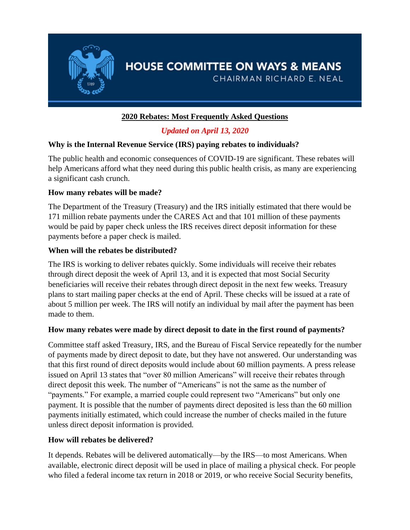

# **HOUSE COMMITTEE ON WAYS & MEANS**

CHAIRMAN RICHARD E. NEAL

### **2020 Rebates: Most Frequently Asked Questions**

## *Updated on April 13, 2020*

#### **Why is the Internal Revenue Service (IRS) paying rebates to individuals?**

The public health and economic consequences of COVID-19 are significant. These rebates will help Americans afford what they need during this public health crisis, as many are experiencing a significant cash crunch.

#### **How many rebates will be made?**

The Department of the Treasury (Treasury) and the IRS initially estimated that there would be 171 million rebate payments under the CARES Act and that 101 million of these payments would be paid by paper check unless the IRS receives direct deposit information for these payments before a paper check is mailed.

#### **When will the rebates be distributed?**

The IRS is working to deliver rebates quickly. Some individuals will receive their rebates through direct deposit the week of April 13, and it is expected that most Social Security beneficiaries will receive their rebates through direct deposit in the next few weeks. Treasury plans to start mailing paper checks at the end of April. These checks will be issued at a rate of about 5 million per week. The IRS will notify an individual by mail after the payment has been made to them.

#### **How many rebates were made by direct deposit to date in the first round of payments?**

Committee staff asked Treasury, IRS, and the Bureau of Fiscal Service repeatedly for the number of payments made by direct deposit to date, but they have not answered. Our understanding was that this first round of direct deposits would include about 60 million payments. A press release issued on April 13 states that "over 80 million Americans" will receive their rebates through direct deposit this week. The number of "Americans" is not the same as the number of "payments." For example, a married couple could represent two "Americans" but only one payment. It is possible that the number of payments direct deposited is less than the 60 million payments initially estimated, which could increase the number of checks mailed in the future unless direct deposit information is provided.

#### **How will rebates be delivered?**

It depends. Rebates will be delivered automatically—by the IRS—to most Americans. When available, electronic direct deposit will be used in place of mailing a physical check. For people who filed a federal income tax return in 2018 or 2019, or who receive Social Security benefits,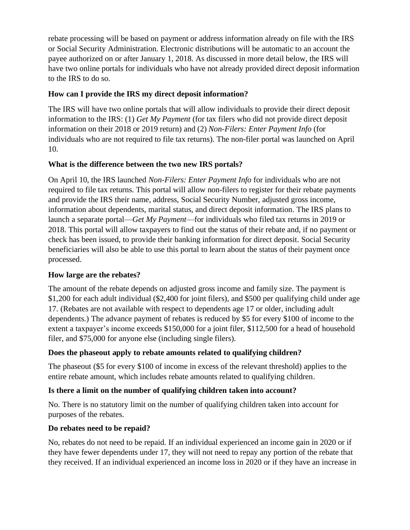rebate processing will be based on payment or address information already on file with the IRS or Social Security Administration. Electronic distributions will be automatic to an account the payee authorized on or after January 1, 2018. As discussed in more detail below, the IRS will have two online portals for individuals who have not already provided direct deposit information to the IRS to do so.

#### **How can I provide the IRS my direct deposit information?**

The IRS will have two online portals that will allow individuals to provide their direct deposit information to the IRS: (1) *Get My Payment* (for tax filers who did not provide direct deposit information on their 2018 or 2019 return) and (2) *Non-Filers: Enter Payment Info* (for individuals who are not required to file tax returns). The non-filer portal was launched on April 10.

#### **What is the difference between the two new IRS portals?**

On April 10, the IRS launched *Non-Filers: Enter Payment Info* for individuals who are not required to file tax returns. This portal will allow non-filers to register for their rebate payments and provide the IRS their name, address, Social Security Number, adjusted gross income, information about dependents, marital status, and direct deposit information. The IRS plans to launch a separate portal—*Get My Payment*—for individuals who filed tax returns in 2019 or 2018. This portal will allow taxpayers to find out the status of their rebate and, if no payment or check has been issued, to provide their banking information for direct deposit. Social Security beneficiaries will also be able to use this portal to learn about the status of their payment once processed.

#### **How large are the rebates?**

The amount of the rebate depends on adjusted gross income and family size. The payment is \$1,200 for each adult individual (\$2,400 for joint filers), and \$500 per qualifying child under age 17. (Rebates are not available with respect to dependents age 17 or older, including adult dependents.) The advance payment of rebates is reduced by \$5 for every \$100 of income to the extent a taxpayer's income exceeds \$150,000 for a joint filer, \$112,500 for a head of household filer, and \$75,000 for anyone else (including single filers).

#### **Does the phaseout apply to rebate amounts related to qualifying children?**

The phaseout (\$5 for every \$100 of income in excess of the relevant threshold) applies to the entire rebate amount, which includes rebate amounts related to qualifying children.

#### **Is there a limit on the number of qualifying children taken into account?**

No. There is no statutory limit on the number of qualifying children taken into account for purposes of the rebates.

#### **Do rebates need to be repaid?**

No, rebates do not need to be repaid. If an individual experienced an income gain in 2020 or if they have fewer dependents under 17, they will not need to repay any portion of the rebate that they received. If an individual experienced an income loss in 2020 or if they have an increase in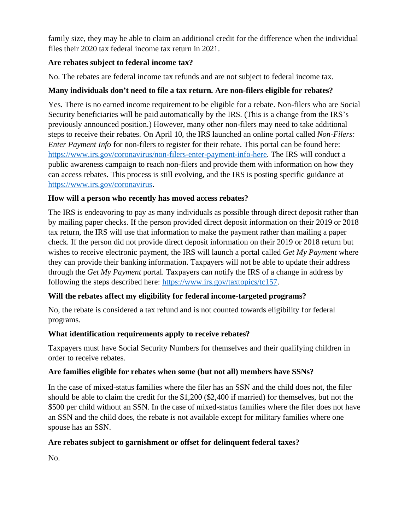family size, they may be able to claim an additional credit for the difference when the individual files their 2020 tax federal income tax return in 2021.

#### **Are rebates subject to federal income tax?**

No. The rebates are federal income tax refunds and are not subject to federal income tax.

#### **Many individuals don't need to file a tax return. Are non-filers eligible for rebates?**

Yes. There is no earned income requirement to be eligible for a rebate. Non-filers who are Social Security beneficiaries will be paid automatically by the IRS. (This is a change from the IRS's previously announced position.) However, many other non-filers may need to take additional steps to receive their rebates. On April 10, the IRS launched an online portal called *Non-Filers: Enter Payment Info* for non-filers to register for their rebate. This portal can be found here: [https://www.irs.gov/coronavirus/non-filers-enter-payment-info-here.](https://www.irs.gov/coronavirus/non-filers-enter-payment-info-here) The IRS will conduct a public awareness campaign to reach non-filers and provide them with information on how they can access rebates. This process is still evolving, and the IRS is posting specific guidance at [https://www.irs.gov/coronavirus.](https://www.irs.gov/coronavirus)

#### **How will a person who recently has moved access rebates?**

The IRS is endeavoring to pay as many individuals as possible through direct deposit rather than by mailing paper checks. If the person provided direct deposit information on their 2019 or 2018 tax return, the IRS will use that information to make the payment rather than mailing a paper check. If the person did not provide direct deposit information on their 2019 or 2018 return but wishes to receive electronic payment, the IRS will launch a portal called *Get My Payment* where they can provide their banking information. Taxpayers will not be able to update their address through the *Get My Payment* portal. Taxpayers can notify the IRS of a change in address by following the steps described here: [https://www.irs.gov/taxtopics/tc157.](https://www.irs.gov/taxtopics/tc157)

#### **Will the rebates affect my eligibility for federal income-targeted programs?**

No, the rebate is considered a tax refund and is not counted towards eligibility for federal programs.

#### **What identification requirements apply to receive rebates?**

Taxpayers must have Social Security Numbers for themselves and their qualifying children in order to receive rebates.

#### **Are families eligible for rebates when some (but not all) members have SSNs?**

In the case of mixed-status families where the filer has an SSN and the child does not, the filer should be able to claim the credit for the \$1,200 (\$2,400 if married) for themselves, but not the \$500 per child without an SSN. In the case of mixed-status families where the filer does not have an SSN and the child does, the rebate is not available except for military families where one spouse has an SSN.

#### **Are rebates subject to garnishment or offset for delinquent federal taxes?**

No.